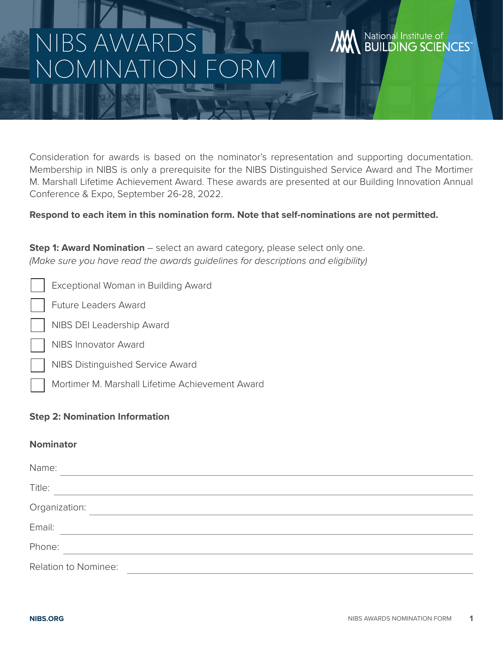# NIBS AWA IC) NAINEA

# Consideration for awards is based on the nominator's representation and supporting documentation. Membership in NIBS is only a prerequisite for the NIBS Distinguished Service Award and The Mortimer M. Marshall Lifetime Achievement Award. These awards are presented at our Building Innovation Annual Conference & Expo, September 26-28, 2022.

# **Respond to each item in this nomination form. Note that self-nominations are not permitted.**

**Step 1: Award Nomination** – select an award category, please select only one. *(Make sure you have read the awards guidelines for descriptions and eligibility)*

|  | Exceptional Woman in Building Award |  |  |
|--|-------------------------------------|--|--|
|  |                                     |  |  |

Future Leaders Award

- NIBS DEI Leadership Award
- NIBS Innovator Award
- NIBS Distinguished Service Award
	- Mortimer M. Marshall Lifetime Achievement Award

# **Step 2: Nomination Information**

### **Nominator**

| Name:                |  |  |  |
|----------------------|--|--|--|
| Title:               |  |  |  |
| Organization:        |  |  |  |
| Email:               |  |  |  |
| Phone:               |  |  |  |
| Relation to Nominee: |  |  |  |

National Institute of

**BUILDING SCIENCES**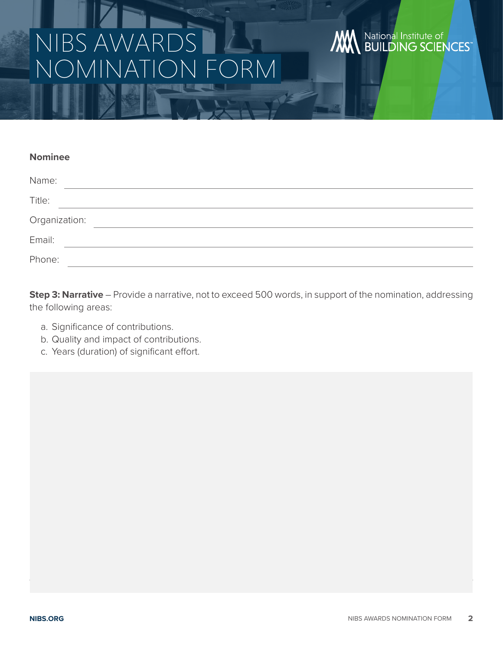# NIBS AWA NOMINATION FORM

# **WE National Institute of WEST**

#### **Nominee**

| Name:         |  |
|---------------|--|
| Title:        |  |
| Organization: |  |
| Email:        |  |
| Phone:        |  |

**Step 3: Narrative** – Provide a narrative, not to exceed 500 words, in support of the nomination, addressing the following areas:

- a. Significance of contributions.
- b. Quality and impact of contributions.
- c. Years (duration) of significant effort.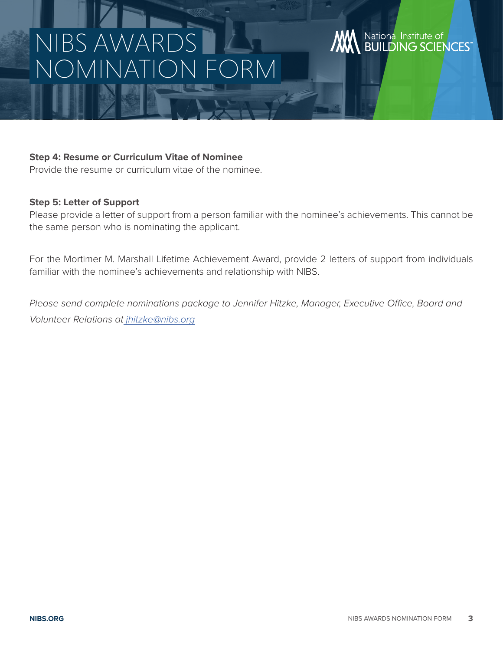# NIBS AWA NOMINATION FORM

## **Step 4: Resume or Curriculum Vitae of Nominee**

Provide the resume or curriculum vitae of the nominee.

#### **Step 5: Letter of Support**

Please provide a letter of support from a person familiar with the nominee's achievements. This cannot be the same person who is nominating the applicant.

For the Mortimer M. Marshall Lifetime Achievement Award, provide 2 letters of support from individuals familiar with the nominee's achievements and relationship with NIBS.

*Please send complete nominations package to Jennifer Hitzke, Manager, Executive Office, Board and Volunteer Relations a[t jhitzke@nibs.org](mailto:%20jhitzke%40nibs.org?subject=)*

National Institute of<br>BUILDING SCIENCES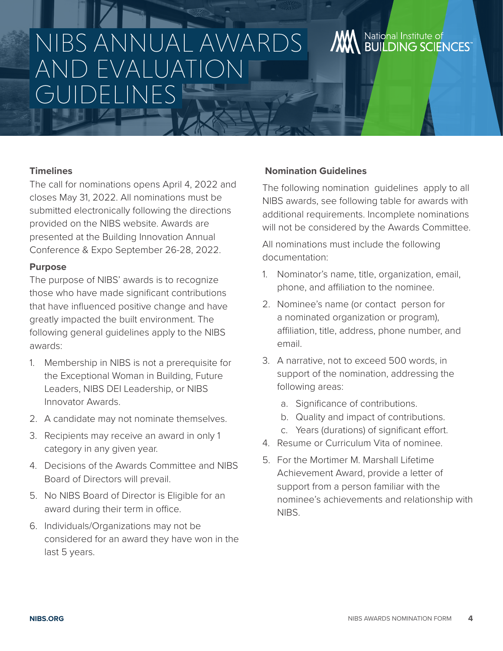# NIBS ANNUAL AWARDS AND EVALUATION GUIDELINES

# **Timelines**

The call for nominations opens April 4, 2022 and closes May 31, 2022. All nominations must be submitted electronically following the directions provided on the NIBS website. Awards are presented at the Building Innovation Annual Conference & Expo September 26-28, 2022.

### **Purpose**

The purpose of NIBS' awards is to recognize those who have made significant contributions that have influenced positive change and have greatly impacted the built environment. The following general guidelines apply to the NIBS awards:

- 1. Membership in NIBS is not a prerequisite for the Exceptional Woman in Building, Future Leaders, NIBS DEI Leadership, or NIBS Innovator Awards.
- 2. A candidate may not nominate themselves.
- 3. Recipients may receive an award in only 1 category in any given year.
- 4. Decisions of the Awards Committee and NIBS Board of Directors will prevail.
- 5. No NIBS Board of Director is Eligible for an award during their term in office.
- 6. Individuals/Organizations may not be considered for an award they have won in the last 5 years.

# **Nomination Guidelines**

The following nomination guidelines apply to all NIBS awards, see following table for awards with additional requirements. Incomplete nominations will not be considered by the Awards Committee.

National Institute of

**BUILDING SCIENCES** 

All nominations must include the following documentation:

- 1. Nominator's name, title, organization, email, phone, and affiliation to the nominee.
- 2. Nominee's name (or contact person for a nominated organization or program), affiliation, title, address, phone number, and email.
- 3. A narrative, not to exceed 500 words, in support of the nomination, addressing the following areas:
	- a. Significance of contributions.
	- b. Quality and impact of contributions.
	- c. Years (durations) of significant effort.
- 4. Resume or Curriculum Vita of nominee.
- 5. For the Mortimer M. Marshall Lifetime Achievement Award, provide a letter of support from a person familiar with the nominee's achievements and relationship with NIBS.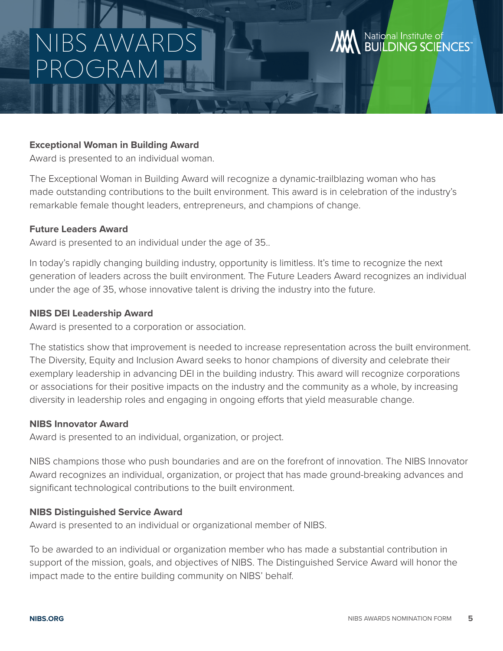# NIBS AWA PROGRAM

### **Exceptional Woman in Building Award**

Award is presented to an individual woman.

The Exceptional Woman in Building Award will recognize a dynamic-trailblazing woman who has made outstanding contributions to the built environment. This award is in celebration of the industry's remarkable female thought leaders, entrepreneurs, and champions of change.

## **Future Leaders Award**

Award is presented to an individual under the age of 35..

In today's rapidly changing building industry, opportunity is limitless. It's time to recognize the next generation of leaders across the built environment. The Future Leaders Award recognizes an individual under the age of 35, whose innovative talent is driving the industry into the future.

## **NIBS DEI Leadership Award**

Award is presented to a corporation or association.

The statistics show that improvement is needed to increase representation across the built environment. The Diversity, Equity and Inclusion Award seeks to honor champions of diversity and celebrate their exemplary leadership in advancing DEI in the building industry. This award will recognize corporations or associations for their positive impacts on the industry and the community as a whole, by increasing diversity in leadership roles and engaging in ongoing efforts that yield measurable change.

### **NIBS Innovator Award**

Award is presented to an individual, organization, or project.

NIBS champions those who push boundaries and are on the forefront of innovation. The NIBS Innovator Award recognizes an individual, organization, or project that has made ground-breaking advances and significant technological contributions to the built environment.

### **NIBS Distinguished Service Award**

Award is presented to an individual or organizational member of NIBS.

To be awarded to an individual or organization member who has made a substantial contribution in support of the mission, goals, and objectives of NIBS. The Distinguished Service Award will honor the impact made to the entire building community on NIBS' behalf.

National Institute of

**BUILDING SCIENCES**